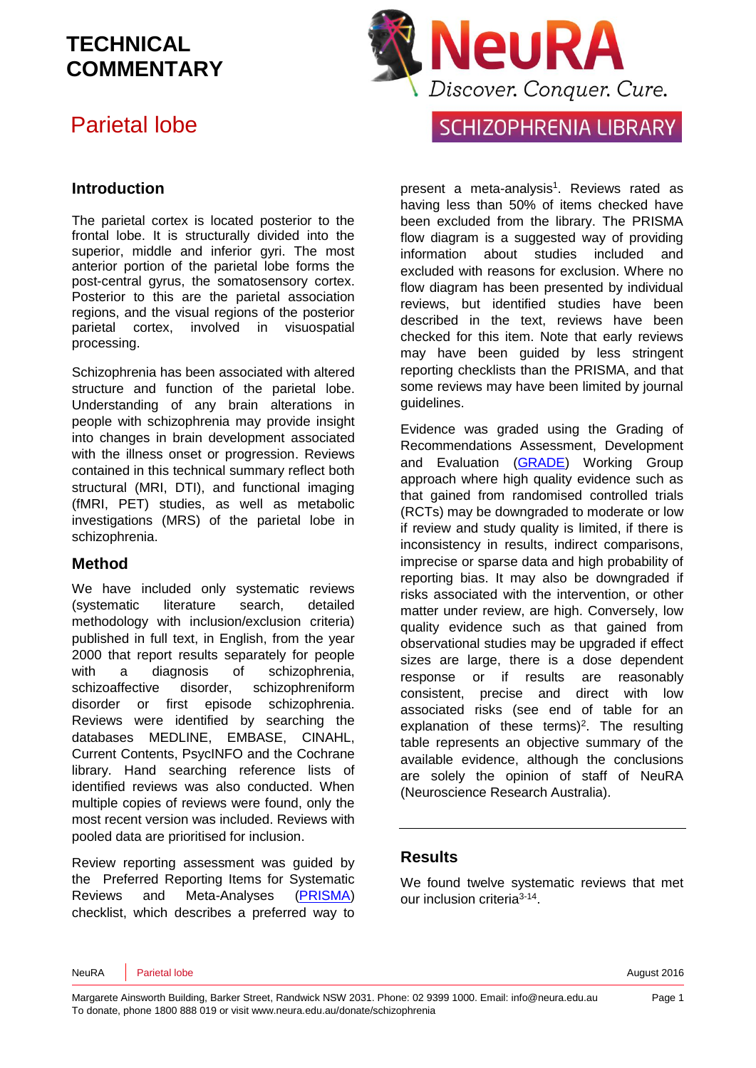## Parietal lobe

### **Introduction**

The parietal cortex is located posterior to the frontal lobe. It is structurally divided into the superior, middle and inferior gyri. The most anterior portion of the parietal lobe forms the post-central gyrus, the somatosensory cortex. Posterior to this are the parietal association regions, and the visual regions of the posterior parietal cortex, involved in visuospatial processing.

Schizophrenia has been associated with altered structure and function of the parietal lobe. Understanding of any brain alterations in people with schizophrenia may provide insight into changes in brain development associated with the illness onset or progression. Reviews contained in this technical summary reflect both structural (MRI, DTI), and functional imaging (fMRI, PET) studies, as well as metabolic investigations (MRS) of the parietal lobe in schizophrenia.

#### **Method**

We have included only systematic reviews (systematic literature search, detailed methodology with inclusion/exclusion criteria) published in full text, in English, from the year 2000 that report results separately for people with a diagnosis of schizophrenia, schizoaffective disorder, schizophreniform disorder or first episode schizophrenia. Reviews were identified by searching the databases MEDLINE, EMBASE, CINAHL, Current Contents, PsycINFO and the Cochrane library. Hand searching reference lists of identified reviews was also conducted. When multiple copies of reviews were found, only the most recent version was included. Reviews with pooled data are prioritised for inclusion.

Review reporting assessment was guided by the Preferred Reporting Items for Systematic Reviews and Meta-Analyses [\(PRISMA\)](http://www.prisma-statement.org/) checklist, which describes a preferred way to



present a meta-analysis<sup>[1](#page-16-0)</sup>. Reviews rated as having less than 50% of items checked have been excluded from the library. The PRISMA flow diagram is a suggested way of providing information about studies included and excluded with reasons for exclusion. Where no flow diagram has been presented by individual reviews, but identified studies have been described in the text, reviews have been checked for this item. Note that early reviews may have been guided by less stringent reporting checklists than the PRISMA, and that some reviews may have been limited by journal guidelines.

Evidence was graded using the Grading of Recommendations Assessment, Development and Evaluation [\(GRADE\)](http://www.gradeworkinggroup.org/) Working Group approach where high quality evidence such as that gained from randomised controlled trials (RCTs) may be downgraded to moderate or low if review and study quality is limited, if there is inconsistency in results, indirect comparisons, imprecise or sparse data and high probability of reporting bias. It may also be downgraded if risks associated with the intervention, or other matter under review, are high. Conversely, low quality evidence such as that gained from observational studies may be upgraded if effect sizes are large, there is a dose dependent response or if results are reasonably consistent, precise and direct with low associated risks (see end of table for an explanation of these terms[\)](#page-16-1)<sup>2</sup>. The resulting table represents an objective summary of the available evidence, although the conclusions are solely the opinion of staff of NeuRA (Neuroscience Research Australia).

#### **Results**

We found twelve systematic reviews that met our inclusion criteria<sup>[3-14](#page-16-2)</sup>.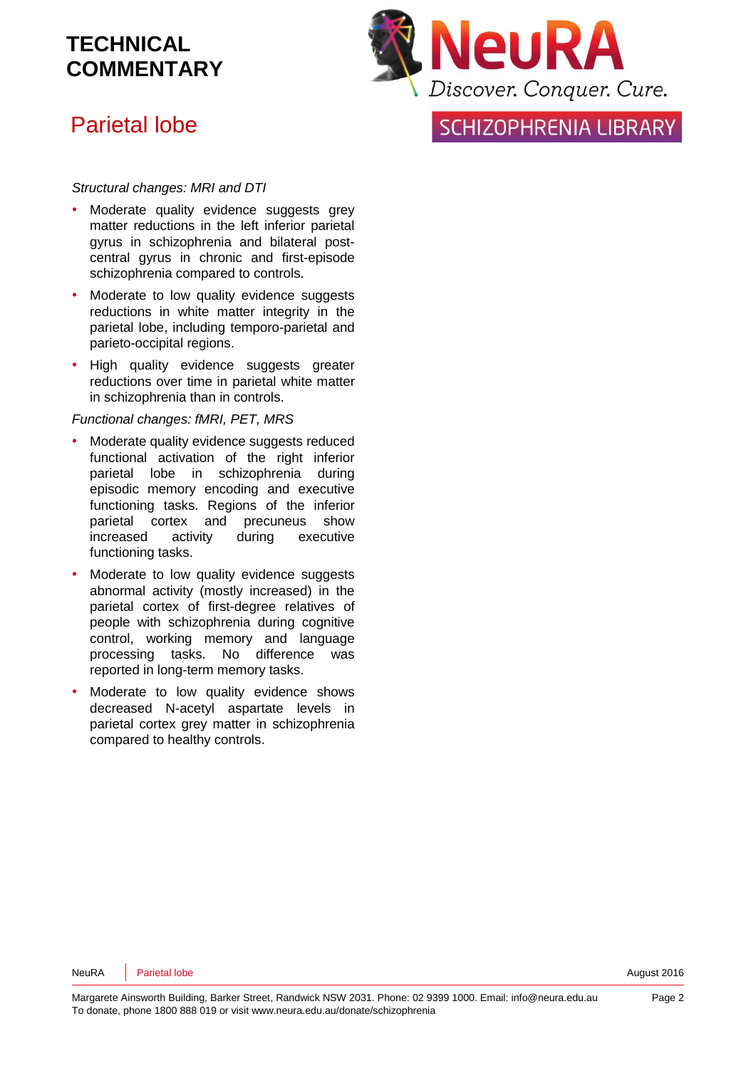

## Parietal lobe

#### *Structural changes: MRI and DTI*

- Moderate quality evidence suggests grey matter reductions in the left inferior parietal gyrus in schizophrenia and bilateral postcentral gyrus in chronic and first-episode schizophrenia compared to controls.
- Moderate to low quality evidence suggests reductions in white matter integrity in the parietal lobe, including temporo-parietal and parieto-occipital regions.
- High quality evidence suggests greater reductions over time in parietal white matter in schizophrenia than in controls.

#### *Functional changes: fMRI, PET, MRS*

- Moderate quality evidence suggests reduced functional activation of the right inferior parietal lobe in schizophrenia during episodic memory encoding and executive functioning tasks. Regions of the inferior parietal cortex and precuneus show increased activity during executive functioning tasks.
- Moderate to low quality evidence suggests abnormal activity (mostly increased) in the parietal cortex of first-degree relatives of people with schizophrenia during cognitive control, working memory and language processing tasks. No difference was reported in long-term memory tasks.
- Moderate to low quality evidence shows decreased N-acetyl aspartate levels in parietal cortex grey matter in schizophrenia compared to healthy controls.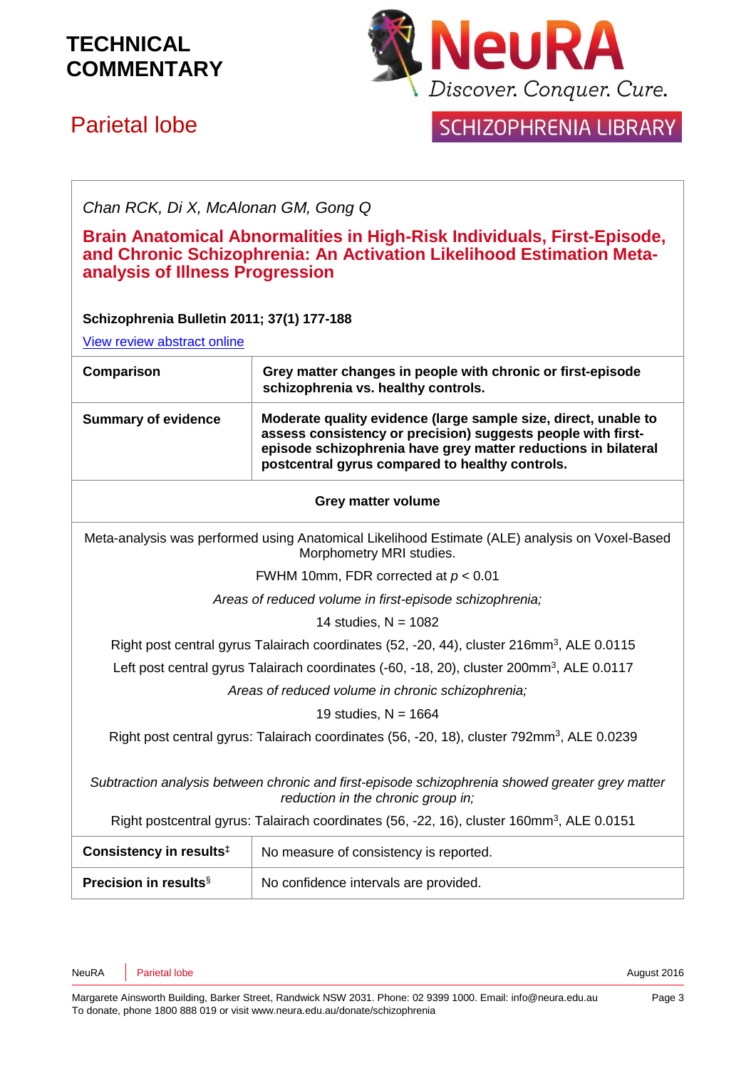

## Parietal lobe

**SCHIZOPHRENIA LIBRARY** 

### *Chan RCK, Di X, McAlonan GM, Gong Q*

### **Brain Anatomical Abnormalities in High-Risk Individuals, First-Episode, and Chronic Schizophrenia: An Activation Likelihood Estimation Metaanalysis of Illness Progression**

#### **Schizophrenia Bulletin 2011; 37(1) 177-188**

[View review abstract online](http://schizophreniabulletin.oxfordjournals.org/content/early/2009/07/24/schbul.sbp073)

| Comparison                 | Grey matter changes in people with chronic or first-episode<br>schizophrenia vs. healthy controls.                                                                                                                                                   |
|----------------------------|------------------------------------------------------------------------------------------------------------------------------------------------------------------------------------------------------------------------------------------------------|
| <b>Summary of evidence</b> | Moderate quality evidence (large sample size, direct, unable to<br>assess consistency or precision) suggests people with first-<br>episode schizophrenia have grey matter reductions in bilateral<br>postcentral gyrus compared to healthy controls. |

#### **Grey matter volume**

Meta-analysis was performed using Anatomical Likelihood Estimate (ALE) analysis on Voxel-Based Morphometry MRI studies.

FWHM 10mm, FDR corrected at *p* < 0.01

*Areas of reduced volume in first-episode schizophrenia;*

14 studies,  $N = 1082$ 

Right post central gyrus Talairach coordinates (52, -20, 44), cluster 216mm<sup>3</sup>, ALE 0.0115

Left post central gyrus Talairach coordinates (-60, -18, 20), cluster 200mm<sup>3</sup>, ALE 0.0117

*Areas of reduced volume in chronic schizophrenia;*

19 studies,  $N = 1664$ 

Right post central gyrus: Talairach coordinates (56, -20, 18), cluster 792mm<sup>3</sup>, ALE 0.0239

*Subtraction analysis between chronic and first-episode schizophrenia showed greater grey matter reduction in the chronic group in;*

Right postcentral gyrus: Talairach coordinates (56, -22, 16), cluster 160mm<sup>3</sup>, ALE 0.0151

| Consistency in results <sup>‡</sup> | No measure of consistency is reported. |
|-------------------------------------|----------------------------------------|
| Precision in results <sup>§</sup>   | No confidence intervals are provided.  |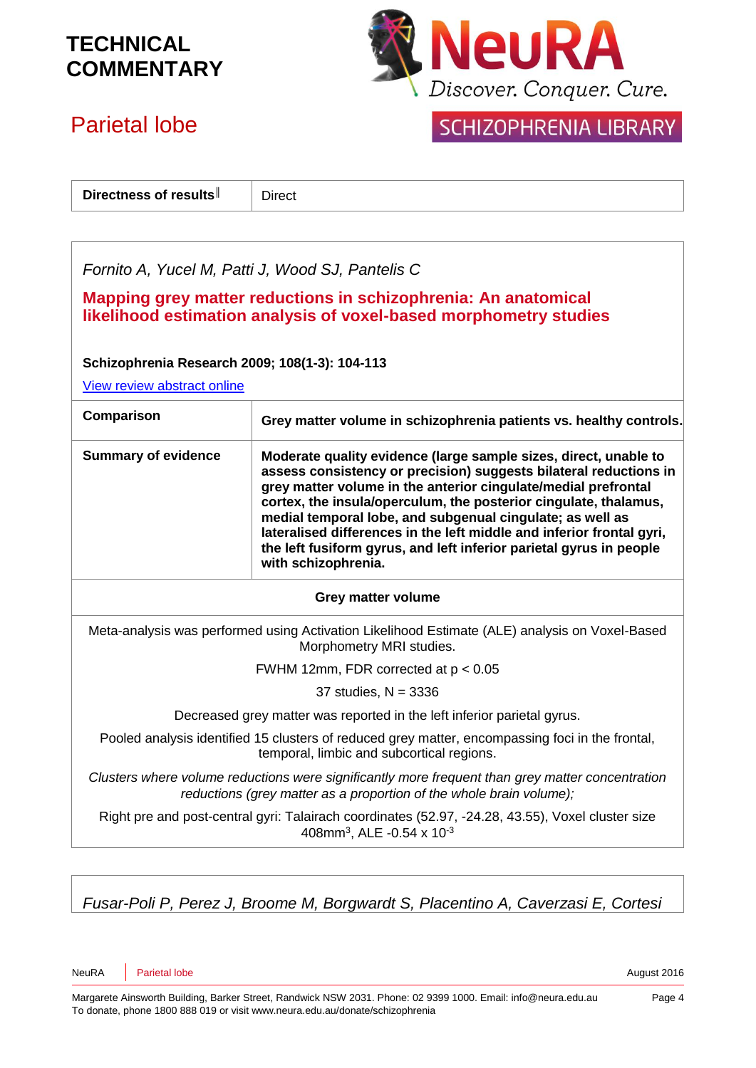

SCHIZOPHRENIA LIBRARY

# Parietal lobe

**Directness of results**  $\parallel$  Direct

| Schizophrenia Research 2009; 108(1-3): 104-113                          |                                                                                                                                                                                                                                                                                                                                                                                                                                                                                                                 |
|-------------------------------------------------------------------------|-----------------------------------------------------------------------------------------------------------------------------------------------------------------------------------------------------------------------------------------------------------------------------------------------------------------------------------------------------------------------------------------------------------------------------------------------------------------------------------------------------------------|
| View review abstract online                                             |                                                                                                                                                                                                                                                                                                                                                                                                                                                                                                                 |
| Comparison                                                              | Grey matter volume in schizophrenia patients vs. healthy controls.                                                                                                                                                                                                                                                                                                                                                                                                                                              |
| <b>Summary of evidence</b>                                              | Moderate quality evidence (large sample sizes, direct, unable to<br>assess consistency or precision) suggests bilateral reductions in<br>grey matter volume in the anterior cingulate/medial prefrontal<br>cortex, the insula/operculum, the posterior cingulate, thalamus,<br>medial temporal lobe, and subgenual cingulate; as well as<br>lateralised differences in the left middle and inferior frontal gyri,<br>the left fusiform gyrus, and left inferior parietal gyrus in people<br>with schizophrenia. |
|                                                                         | <b>Grey matter volume</b>                                                                                                                                                                                                                                                                                                                                                                                                                                                                                       |
|                                                                         | Meta-analysis was performed using Activation Likelihood Estimate (ALE) analysis on Voxel-Based<br>Morphometry MRI studies.                                                                                                                                                                                                                                                                                                                                                                                      |
| FWHM 12mm, FDR corrected at $p < 0.05$                                  |                                                                                                                                                                                                                                                                                                                                                                                                                                                                                                                 |
| 37 studies, $N = 3336$                                                  |                                                                                                                                                                                                                                                                                                                                                                                                                                                                                                                 |
| Decreased grey matter was reported in the left inferior parietal gyrus. |                                                                                                                                                                                                                                                                                                                                                                                                                                                                                                                 |
|                                                                         | Pooled analysis identified 15 clusters of reduced grey matter, encompassing foci in the frontal,<br>temporal, limbic and subcortical regions.                                                                                                                                                                                                                                                                                                                                                                   |
|                                                                         | Clusters where volume reductions were significantly more frequent than grey matter concentration<br>reductions (grey matter as a proportion of the whole brain volume);                                                                                                                                                                                                                                                                                                                                         |
|                                                                         |                                                                                                                                                                                                                                                                                                                                                                                                                                                                                                                 |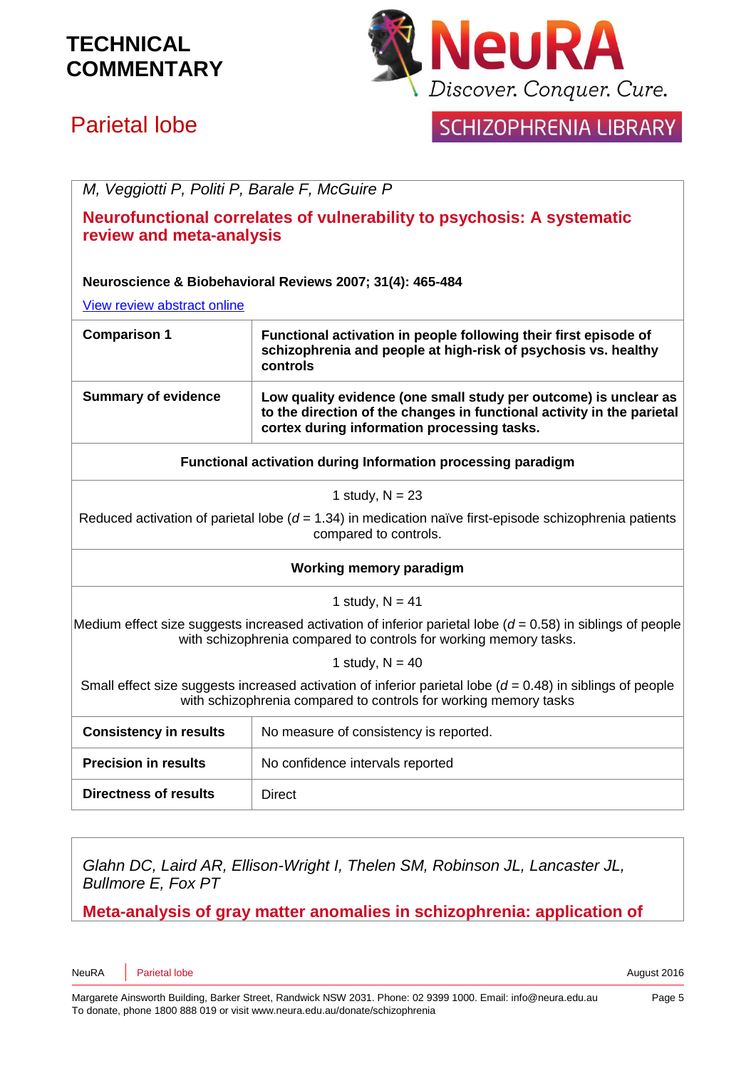

## Parietal lobe

**SCHIZOPHRENIA LIBRARY** 

|                               | M, Veggiotti P, Politi P, Barale F, McGuire P                                                                                                                                             |
|-------------------------------|-------------------------------------------------------------------------------------------------------------------------------------------------------------------------------------------|
| review and meta-analysis      | Neurofunctional correlates of vulnerability to psychosis: A systematic                                                                                                                    |
|                               | Neuroscience & Biobehavioral Reviews 2007; 31(4): 465-484                                                                                                                                 |
| View review abstract online   |                                                                                                                                                                                           |
| <b>Comparison 1</b>           | Functional activation in people following their first episode of<br>schizophrenia and people at high-risk of psychosis vs. healthy<br>controls                                            |
| <b>Summary of evidence</b>    | Low quality evidence (one small study per outcome) is unclear as<br>to the direction of the changes in functional activity in the parietal<br>cortex during information processing tasks. |
|                               | Functional activation during Information processing paradigm                                                                                                                              |
|                               | 1 study, $N = 23$                                                                                                                                                                         |
|                               | Reduced activation of parietal lobe $(d = 1.34)$ in medication naïve first-episode schizophrenia patients<br>compared to controls.                                                        |
|                               | <b>Working memory paradigm</b>                                                                                                                                                            |
|                               |                                                                                                                                                                                           |
|                               | 1 study, $N = 41$                                                                                                                                                                         |
|                               | with schizophrenia compared to controls for working memory tasks.                                                                                                                         |
|                               | Medium effect size suggests increased activation of inferior parietal lobe ( $d = 0.58$ ) in siblings of people<br>1 study, $N = 40$                                                      |
|                               | Small effect size suggests increased activation of inferior parietal lobe $(d = 0.48)$ in siblings of people<br>with schizophrenia compared to controls for working memory tasks          |
| <b>Consistency in results</b> | No measure of consistency is reported.                                                                                                                                                    |
| <b>Precision in results</b>   | No confidence intervals reported                                                                                                                                                          |

*Glahn DC, Laird AR, Ellison-Wright I, Thelen SM, Robinson JL, Lancaster JL, Bullmore E, Fox PT*

**Meta-analysis of gray matter anomalies in schizophrenia: application of**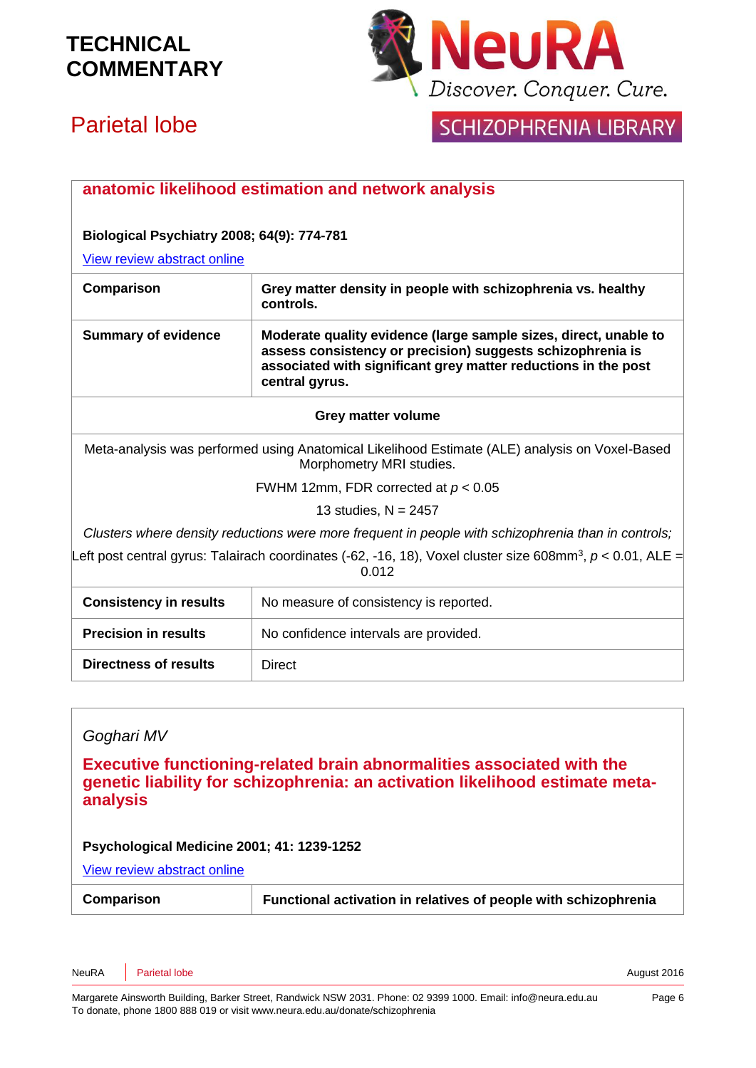

# Parietal lobe

## **SCHIZOPHRENIA LIBRARY**

## **anatomic likelihood estimation and network analysis Biological Psychiatry 2008; 64(9): 774-781** [View review abstract online](http://www.ncbi.nlm.nih.gov/pubmed/18486104)  **Comparison Grey matter density in people with schizophrenia vs. healthy controls. Summary of evidence Moderate quality evidence (large sample sizes, direct, unable to assess consistency or precision) suggests schizophrenia is associated with significant grey matter reductions in the post central gyrus. Grey matter volume** Meta-analysis was performed using Anatomical Likelihood Estimate (ALE) analysis on Voxel-Based Morphometry MRI studies. FWHM 12mm, FDR corrected at *p* < 0.05 13 studies,  $N = 2457$ *Clusters where density reductions were more frequent in people with schizophrenia than in controls;* Left post central gyrus: Talairach coordinates (-62, -16, 18), Voxel cluster size 608mm<sup>3</sup>, p < 0.01, ALE = 0.012 **Consistency in results** | No measure of consistency is reported. **Precision in results** No confidence intervals are provided. **Directness of results** Direct

### *Goghari MV*

**Executive functioning-related brain abnormalities associated with the genetic liability for schizophrenia: an activation likelihood estimate metaanalysis**

#### **Psychological Medicine 2001; 41: 1239-1252**

[View review abstract online](http://www.ncbi.nlm.nih.gov/pubmed/20942994)

**Comparison Functional activation in relatives of people with schizophrenia**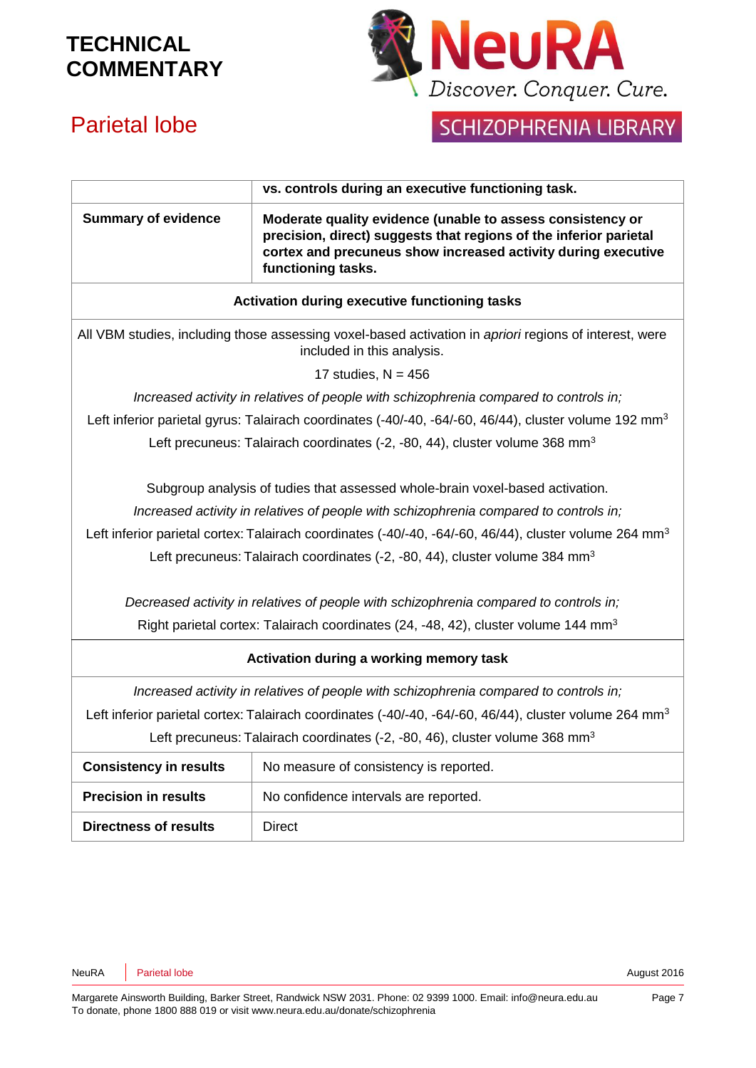

# Parietal lobe

## **SCHIZOPHRENIA LIBRARY**

|                                                                                                                                                                                                                                                                                                                                                                                                                                                                                  | vs. controls during an executive functioning task.                                                                                                                                                                     |  |
|----------------------------------------------------------------------------------------------------------------------------------------------------------------------------------------------------------------------------------------------------------------------------------------------------------------------------------------------------------------------------------------------------------------------------------------------------------------------------------|------------------------------------------------------------------------------------------------------------------------------------------------------------------------------------------------------------------------|--|
| <b>Summary of evidence</b>                                                                                                                                                                                                                                                                                                                                                                                                                                                       | Moderate quality evidence (unable to assess consistency or<br>precision, direct) suggests that regions of the inferior parietal<br>cortex and precuneus show increased activity during executive<br>functioning tasks. |  |
| Activation during executive functioning tasks                                                                                                                                                                                                                                                                                                                                                                                                                                    |                                                                                                                                                                                                                        |  |
| All VBM studies, including those assessing voxel-based activation in apriori regions of interest, were<br>included in this analysis.                                                                                                                                                                                                                                                                                                                                             |                                                                                                                                                                                                                        |  |
| 17 studies, $N = 456$                                                                                                                                                                                                                                                                                                                                                                                                                                                            |                                                                                                                                                                                                                        |  |
|                                                                                                                                                                                                                                                                                                                                                                                                                                                                                  | Increased activity in relatives of people with schizophrenia compared to controls in;                                                                                                                                  |  |
|                                                                                                                                                                                                                                                                                                                                                                                                                                                                                  | Left inferior parietal gyrus: Talairach coordinates (-40/-40, -64/-60, 46/44), cluster volume 192 mm <sup>3</sup>                                                                                                      |  |
|                                                                                                                                                                                                                                                                                                                                                                                                                                                                                  | Left precuneus: Talairach coordinates (-2, -80, 44), cluster volume 368 mm <sup>3</sup>                                                                                                                                |  |
| Subgroup analysis of tudies that assessed whole-brain voxel-based activation.<br>Increased activity in relatives of people with schizophrenia compared to controls in;<br>Left inferior parietal cortex: Talairach coordinates (-40/-40, -64/-60, 46/44), cluster volume 264 mm <sup>3</sup><br>Left precuneus: Talairach coordinates (-2, -80, 44), cluster volume 384 mm <sup>3</sup><br>Decreased activity in relatives of people with schizophrenia compared to controls in; |                                                                                                                                                                                                                        |  |
| Right parietal cortex: Talairach coordinates (24, -48, 42), cluster volume 144 mm <sup>3</sup>                                                                                                                                                                                                                                                                                                                                                                                   |                                                                                                                                                                                                                        |  |
| Activation during a working memory task                                                                                                                                                                                                                                                                                                                                                                                                                                          |                                                                                                                                                                                                                        |  |
| Increased activity in relatives of people with schizophrenia compared to controls in;<br>Left inferior parietal cortex: Talairach coordinates (-40/-40, -64/-60, 46/44), cluster volume 264 mm <sup>3</sup><br>Left precuneus: Talairach coordinates (-2, -80, 46), cluster volume 368 mm <sup>3</sup>                                                                                                                                                                           |                                                                                                                                                                                                                        |  |
| <b>Consistency in results</b>                                                                                                                                                                                                                                                                                                                                                                                                                                                    | No measure of consistency is reported.                                                                                                                                                                                 |  |
| <b>Precision in results</b>                                                                                                                                                                                                                                                                                                                                                                                                                                                      | No confidence intervals are reported.                                                                                                                                                                                  |  |
| Directness of results                                                                                                                                                                                                                                                                                                                                                                                                                                                            | <b>Direct</b>                                                                                                                                                                                                          |  |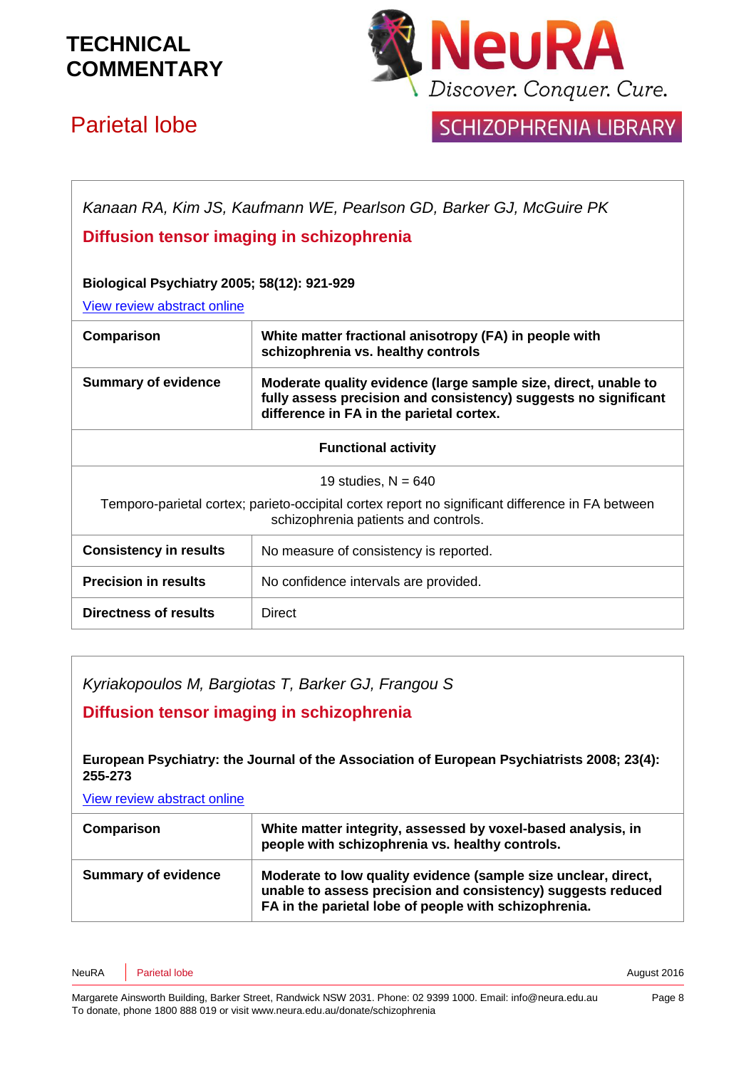



## Parietal lobe

|  | <b>SCHIZOPHRENIA LIBRARY</b> |
|--|------------------------------|
|  |                              |

| Kanaan RA, Kim JS, Kaufmann WE, Pearlson GD, Barker GJ, McGuire PK                                                                       |                                                                                                                                                                                |  |
|------------------------------------------------------------------------------------------------------------------------------------------|--------------------------------------------------------------------------------------------------------------------------------------------------------------------------------|--|
| Diffusion tensor imaging in schizophrenia                                                                                                |                                                                                                                                                                                |  |
|                                                                                                                                          |                                                                                                                                                                                |  |
| Biological Psychiatry 2005; 58(12): 921-929                                                                                              |                                                                                                                                                                                |  |
| View review abstract online                                                                                                              |                                                                                                                                                                                |  |
| Comparison                                                                                                                               | White matter fractional anisotropy (FA) in people with<br>schizophrenia vs. healthy controls                                                                                   |  |
| <b>Summary of evidence</b>                                                                                                               | Moderate quality evidence (large sample size, direct, unable to<br>fully assess precision and consistency) suggests no significant<br>difference in FA in the parietal cortex. |  |
| <b>Functional activity</b>                                                                                                               |                                                                                                                                                                                |  |
| 19 studies, $N = 640$                                                                                                                    |                                                                                                                                                                                |  |
| Temporo-parietal cortex; parieto-occipital cortex report no significant difference in FA between<br>schizophrenia patients and controls. |                                                                                                                                                                                |  |
| <b>Consistency in results</b>                                                                                                            | No measure of consistency is reported.                                                                                                                                         |  |
| <b>Precision in results</b>                                                                                                              | No confidence intervals are provided.                                                                                                                                          |  |
| <b>Directness of results</b><br><b>Direct</b>                                                                                            |                                                                                                                                                                                |  |

*Kyriakopoulos M, Bargiotas T, Barker GJ, Frangou S*

**Diffusion tensor imaging in schizophrenia**

**European Psychiatry: the Journal of the Association of European Psychiatrists 2008; 23(4): 255-273**

#### [View review abstract online](http://www.ncbi.nlm.nih.gov/pubmed/18524546)

| Comparison                 | White matter integrity, assessed by voxel-based analysis, in<br>people with schizophrenia vs. healthy controls.                                                                         |
|----------------------------|-----------------------------------------------------------------------------------------------------------------------------------------------------------------------------------------|
| <b>Summary of evidence</b> | Moderate to low quality evidence (sample size unclear, direct,<br>unable to assess precision and consistency) suggests reduced<br>FA in the parietal lobe of people with schizophrenia. |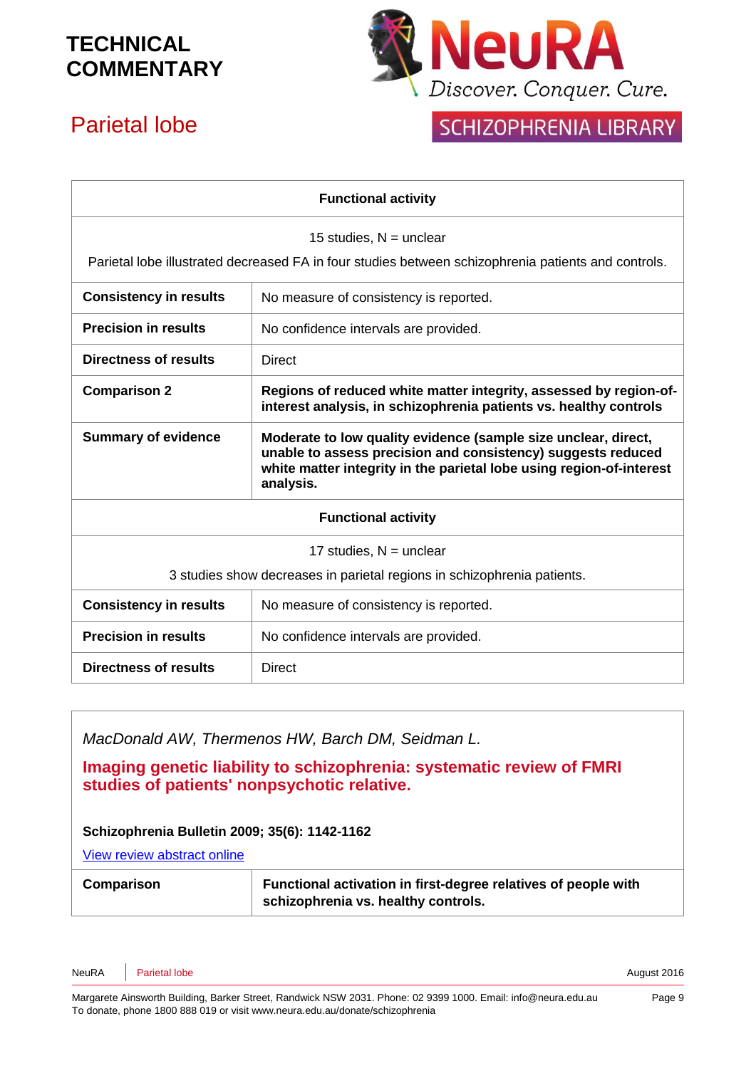

# Parietal lobe

|  | <b>SCHIZOPHRENIA LIBRARY</b> |
|--|------------------------------|
|  |                              |

| <b>Functional activity</b>                                                                          |                                                                                                                                                                                                                     |  |
|-----------------------------------------------------------------------------------------------------|---------------------------------------------------------------------------------------------------------------------------------------------------------------------------------------------------------------------|--|
| 15 studies, $N =$ unclear                                                                           |                                                                                                                                                                                                                     |  |
| Parietal lobe illustrated decreased FA in four studies between schizophrenia patients and controls. |                                                                                                                                                                                                                     |  |
| <b>Consistency in results</b>                                                                       | No measure of consistency is reported.                                                                                                                                                                              |  |
| <b>Precision in results</b>                                                                         | No confidence intervals are provided.                                                                                                                                                                               |  |
| Directness of results                                                                               | <b>Direct</b>                                                                                                                                                                                                       |  |
| <b>Comparison 2</b>                                                                                 | Regions of reduced white matter integrity, assessed by region-of-<br>interest analysis, in schizophrenia patients vs. healthy controls                                                                              |  |
| <b>Summary of evidence</b>                                                                          | Moderate to low quality evidence (sample size unclear, direct,<br>unable to assess precision and consistency) suggests reduced<br>white matter integrity in the parietal lobe using region-of-interest<br>analysis. |  |
| <b>Functional activity</b>                                                                          |                                                                                                                                                                                                                     |  |
| 17 studies, $N =$ unclear                                                                           |                                                                                                                                                                                                                     |  |
| 3 studies show decreases in parietal regions in schizophrenia patients.                             |                                                                                                                                                                                                                     |  |
| <b>Consistency in results</b>                                                                       | No measure of consistency is reported.                                                                                                                                                                              |  |
| <b>Precision in results</b>                                                                         | No confidence intervals are provided.                                                                                                                                                                               |  |
| Directness of results                                                                               | <b>Direct</b>                                                                                                                                                                                                       |  |

*MacDonald AW, Thermenos HW, Barch DM, Seidman L.*

**Imaging genetic liability to schizophrenia: systematic review of FMRI studies of patients' nonpsychotic relative.**

#### **Schizophrenia Bulletin 2009; 35(6): 1142-1162**

[View review abstract online](http://www.ncbi.nlm.nih.gov/pubmed/18556667) 

| Comparison | Functional activation in first-degree relatives of people with |
|------------|----------------------------------------------------------------|
|            | schizophrenia vs. healthy controls.                            |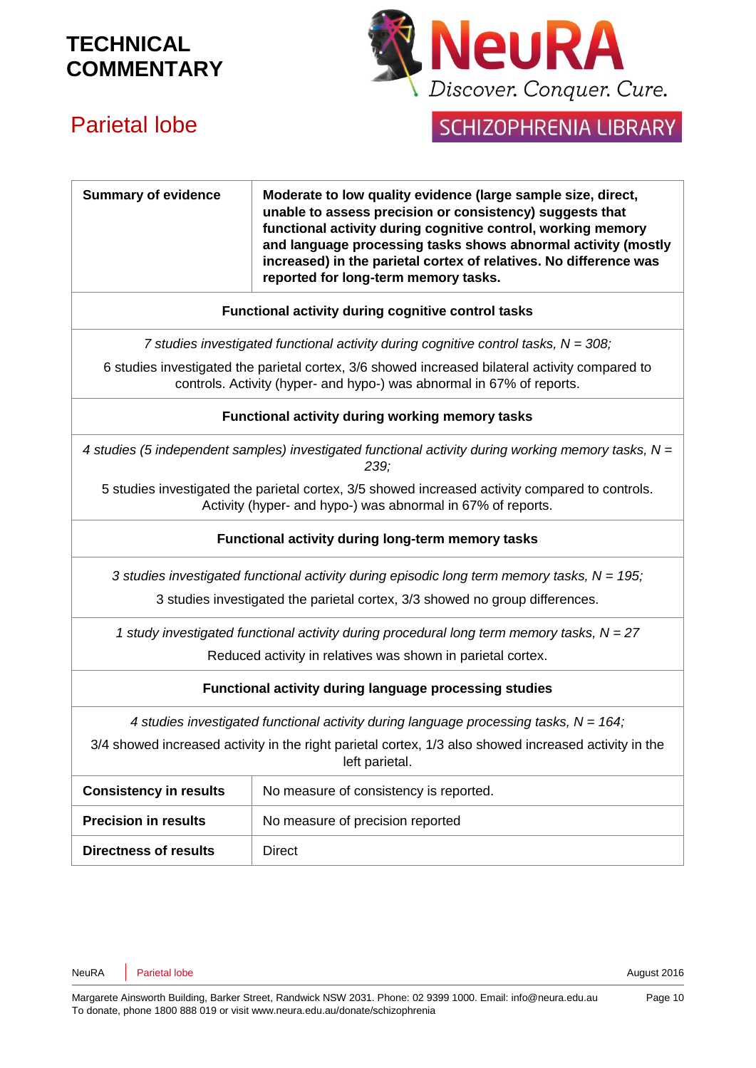

# Parietal lobe

## **SCHIZOPHRENIA LIBRARY**

| <b>Summary of evidence</b>                                                                                                                                               | Moderate to low quality evidence (large sample size, direct,<br>unable to assess precision or consistency) suggests that<br>functional activity during cognitive control, working memory<br>and language processing tasks shows abnormal activity (mostly<br>increased) in the parietal cortex of relatives. No difference was<br>reported for long-term memory tasks. |  |  |
|--------------------------------------------------------------------------------------------------------------------------------------------------------------------------|------------------------------------------------------------------------------------------------------------------------------------------------------------------------------------------------------------------------------------------------------------------------------------------------------------------------------------------------------------------------|--|--|
| Functional activity during cognitive control tasks                                                                                                                       |                                                                                                                                                                                                                                                                                                                                                                        |  |  |
|                                                                                                                                                                          | 7 studies investigated functional activity during cognitive control tasks, $N = 308$ ;                                                                                                                                                                                                                                                                                 |  |  |
| 6 studies investigated the parietal cortex, 3/6 showed increased bilateral activity compared to<br>controls. Activity (hyper- and hypo-) was abnormal in 67% of reports. |                                                                                                                                                                                                                                                                                                                                                                        |  |  |
|                                                                                                                                                                          | Functional activity during working memory tasks                                                                                                                                                                                                                                                                                                                        |  |  |
|                                                                                                                                                                          | 4 studies (5 independent samples) investigated functional activity during working memory tasks, $N =$<br>239;                                                                                                                                                                                                                                                          |  |  |
|                                                                                                                                                                          | 5 studies investigated the parietal cortex, 3/5 showed increased activity compared to controls.<br>Activity (hyper- and hypo-) was abnormal in 67% of reports.                                                                                                                                                                                                         |  |  |
| Functional activity during long-term memory tasks                                                                                                                        |                                                                                                                                                                                                                                                                                                                                                                        |  |  |
| 3 studies investigated functional activity during episodic long term memory tasks, $N = 195$ ;                                                                           |                                                                                                                                                                                                                                                                                                                                                                        |  |  |
| 3 studies investigated the parietal cortex, 3/3 showed no group differences.                                                                                             |                                                                                                                                                                                                                                                                                                                                                                        |  |  |
| 1 study investigated functional activity during procedural long term memory tasks, $N = 27$                                                                              |                                                                                                                                                                                                                                                                                                                                                                        |  |  |
| Reduced activity in relatives was shown in parietal cortex.                                                                                                              |                                                                                                                                                                                                                                                                                                                                                                        |  |  |
| Functional activity during language processing studies                                                                                                                   |                                                                                                                                                                                                                                                                                                                                                                        |  |  |
| 4 studies investigated functional activity during language processing tasks, $N = 164$ ;                                                                                 |                                                                                                                                                                                                                                                                                                                                                                        |  |  |
| 3/4 showed increased activity in the right parietal cortex, 1/3 also showed increased activity in the<br>left parietal.                                                  |                                                                                                                                                                                                                                                                                                                                                                        |  |  |
| <b>Consistency in results</b>                                                                                                                                            | No measure of consistency is reported.                                                                                                                                                                                                                                                                                                                                 |  |  |
| <b>Precision in results</b>                                                                                                                                              | No measure of precision reported                                                                                                                                                                                                                                                                                                                                       |  |  |
| <b>Directness of results</b>                                                                                                                                             | <b>Direct</b>                                                                                                                                                                                                                                                                                                                                                          |  |  |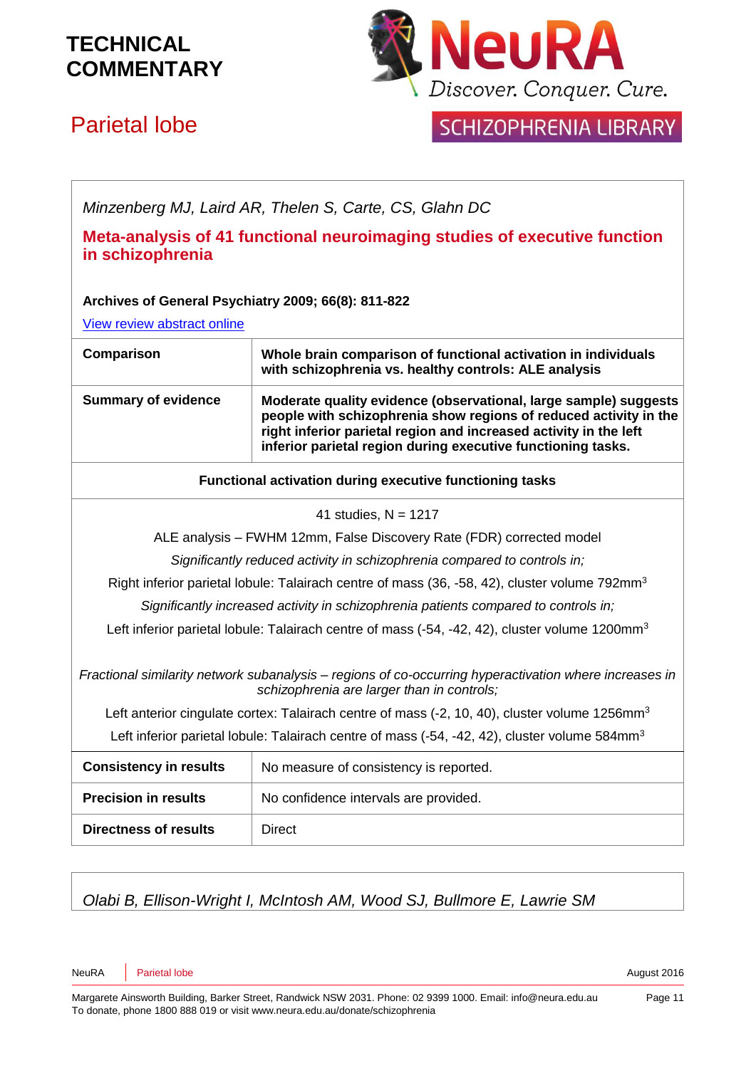

# Parietal lobe

### **SCHIZOPHRENIA LIBRARY**

*Minzenberg MJ, Laird AR, Thelen S, Carte, CS, Glahn DC*

**Meta-analysis of 41 functional neuroimaging studies of executive function in schizophrenia**

#### **Archives of General Psychiatry 2009; 66(8): 811-822**

[View review abstract online](http://www.ncbi.nlm.nih.gov/pubmed/19652121) 

| Comparison                 | Whole brain comparison of functional activation in individuals<br>with schizophrenia vs. healthy controls: ALE analysis                                                                                                                                                    |
|----------------------------|----------------------------------------------------------------------------------------------------------------------------------------------------------------------------------------------------------------------------------------------------------------------------|
| <b>Summary of evidence</b> | Moderate quality evidence (observational, large sample) suggests<br>people with schizophrenia show regions of reduced activity in the<br>right inferior parietal region and increased activity in the left<br>inferior parietal region during executive functioning tasks. |

#### **Functional activation during executive functioning tasks**

#### 41 studies,  $N = 1217$

ALE analysis – FWHM 12mm, False Discovery Rate (FDR) corrected model

*Significantly reduced activity in schizophrenia compared to controls in;*

Right inferior parietal lobule: Talairach centre of mass (36, -58, 42), cluster volume 792mm<sup>3</sup>

*Significantly increased activity in schizophrenia patients compared to controls in;*

Left inferior parietal lobule: Talairach centre of mass (-54, -42, 42), cluster volume 1200mm<sup>3</sup>

*Fractional similarity network subanalysis – regions of co-occurring hyperactivation where increases in schizophrenia are larger than in controls;*

Left anterior cingulate cortex: Talairach centre of mass (-2, 10, 40), cluster volume 1256mm<sup>3</sup> Left inferior parietal lobule: Talairach centre of mass (-54, -42, 42), cluster volume 584mm<sup>3</sup>

| <b>Consistency in results</b> | No measure of consistency is reported. |
|-------------------------------|----------------------------------------|
| <b>Precision in results</b>   | No confidence intervals are provided.  |
| <b>Directness of results</b>  | <b>Direct</b>                          |

### *Olabi B, Ellison-Wright I, McIntosh AM, Wood SJ, Bullmore E, Lawrie SM*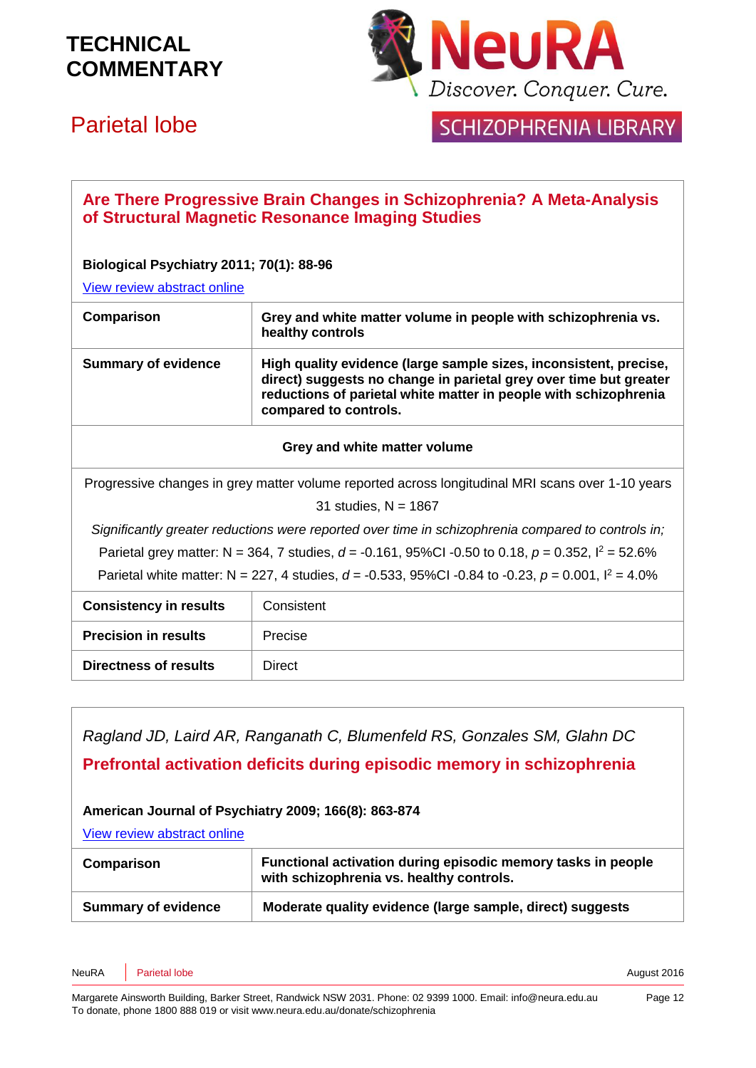

# Parietal lobe

**SCHIZOPHRENIA LIBRARY** 

| Are There Progressive Brain Changes in Schizophrenia? A Meta-Analysis<br>of Structural Magnetic Resonance Imaging Studies |                                                                                                                                                                                                                                     |  |  |
|---------------------------------------------------------------------------------------------------------------------------|-------------------------------------------------------------------------------------------------------------------------------------------------------------------------------------------------------------------------------------|--|--|
| <b>Biological Psychiatry 2011; 70(1): 88-96</b>                                                                           |                                                                                                                                                                                                                                     |  |  |
| View review abstract online                                                                                               |                                                                                                                                                                                                                                     |  |  |
| Comparison                                                                                                                | Grey and white matter volume in people with schizophrenia vs.<br>healthy controls                                                                                                                                                   |  |  |
| <b>Summary of evidence</b>                                                                                                | High quality evidence (large sample sizes, inconsistent, precise,<br>direct) suggests no change in parietal grey over time but greater<br>reductions of parietal white matter in people with schizophrenia<br>compared to controls. |  |  |
|                                                                                                                           | Grey and white matter volume                                                                                                                                                                                                        |  |  |
|                                                                                                                           | Progressive changes in grey matter volume reported across longitudinal MRI scans over 1-10 years                                                                                                                                    |  |  |
|                                                                                                                           | 31 studies, $N = 1867$                                                                                                                                                                                                              |  |  |
|                                                                                                                           | Significantly greater reductions were reported over time in schizophrenia compared to controls in;                                                                                                                                  |  |  |
|                                                                                                                           | Parietal grey matter: N = 364, 7 studies, $d = -0.161$ , 95%CI -0.50 to 0.18, $p = 0.352$ , $l^2 = 52.6\%$                                                                                                                          |  |  |
|                                                                                                                           | Parietal white matter: N = 227, 4 studies, $d = -0.533$ , 95%Cl -0.84 to -0.23, $p = 0.001$ , $l^2 = 4.0\%$                                                                                                                         |  |  |
| <b>Consistency in results</b>                                                                                             | Consistent                                                                                                                                                                                                                          |  |  |
| <b>Precision in results</b>                                                                                               | Precise                                                                                                                                                                                                                             |  |  |
| Directness of results                                                                                                     | <b>Direct</b>                                                                                                                                                                                                                       |  |  |

*Ragland JD, Laird AR, Ranganath C, Blumenfeld RS, Gonzales SM, Glahn DC* **Prefrontal activation deficits during episodic memory in schizophrenia**

#### **American Journal of Psychiatry 2009; 166(8): 863-874**

[View review abstract online](http://www.ncbi.nlm.nih.gov/pubmed/19411370) 

| Comparison                 | Functional activation during episodic memory tasks in people<br>with schizophrenia vs. healthy controls. |
|----------------------------|----------------------------------------------------------------------------------------------------------|
| <b>Summary of evidence</b> | Moderate quality evidence (large sample, direct) suggests                                                |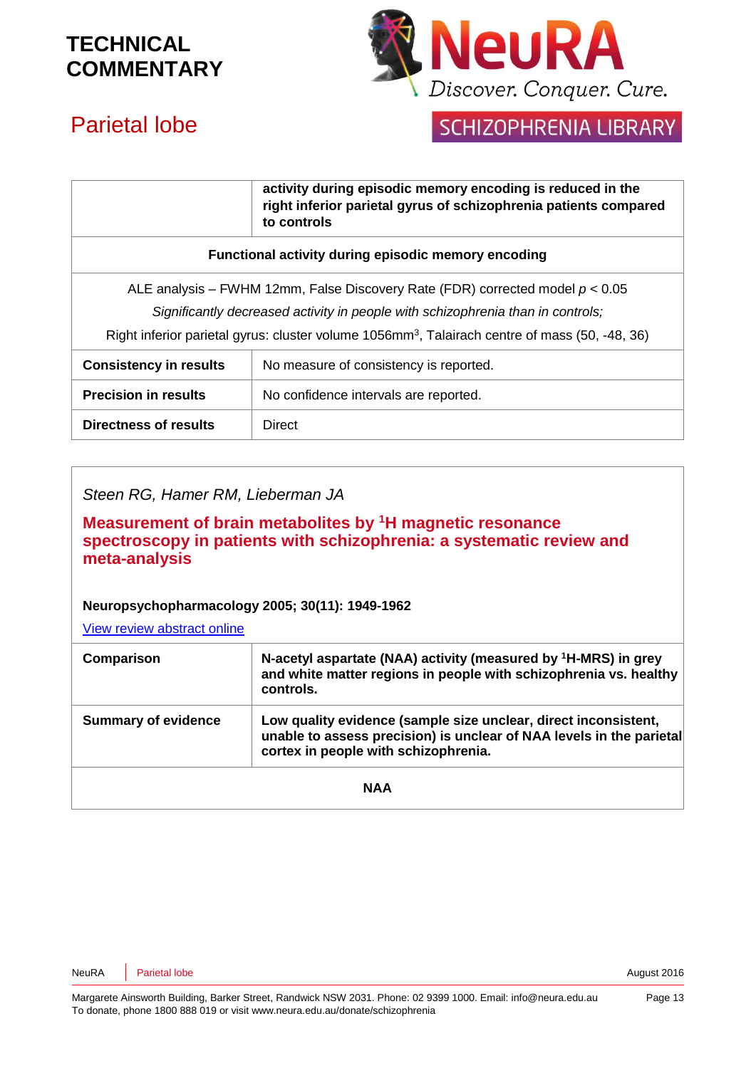

# Parietal lobe

## **SCHIZOPHRENIA LIBRARY**

|                                                                                                                                                                    | activity during episodic memory encoding is reduced in the<br>right inferior parietal gyrus of schizophrenia patients compared<br>to controls |
|--------------------------------------------------------------------------------------------------------------------------------------------------------------------|-----------------------------------------------------------------------------------------------------------------------------------------------|
| Functional activity during episodic memory encoding                                                                                                                |                                                                                                                                               |
| ALE analysis – FWHM 12mm, False Discovery Rate (FDR) corrected model $p < 0.05$<br>Significantly decreased activity in people with schizophrenia than in controls; |                                                                                                                                               |
| Right inferior parietal gyrus: cluster volume 1056mm <sup>3</sup> , Talairach centre of mass (50, -48, 36)                                                         |                                                                                                                                               |
| <b>Consistency in results</b>                                                                                                                                      | No measure of consistency is reported.                                                                                                        |
| <b>Precision in results</b>                                                                                                                                        | No confidence intervals are reported.                                                                                                         |
| <b>Directness of results</b>                                                                                                                                       | Direct                                                                                                                                        |

*Steen RG, Hamer RM, Lieberman JA*

**Measurement of brain metabolites by <sup>1</sup>H magnetic resonance spectroscopy in patients with schizophrenia: a systematic review and meta-analysis**

#### **Neuropsychopharmacology 2005; 30(11): 1949-1962**

[View review abstract online](http://www.ncbi.nlm.nih.gov/pubmed/16123764) 

| Comparison                 | N-acetyl aspartate (NAA) activity (measured by <sup>1</sup> H-MRS) in grey<br>and white matter regions in people with schizophrenia vs. healthy<br>controls.                    |
|----------------------------|---------------------------------------------------------------------------------------------------------------------------------------------------------------------------------|
| <b>Summary of evidence</b> | Low quality evidence (sample size unclear, direct inconsistent,<br>unable to assess precision) is unclear of NAA levels in the parietal<br>cortex in people with schizophrenia. |
| <b>NAA</b>                 |                                                                                                                                                                                 |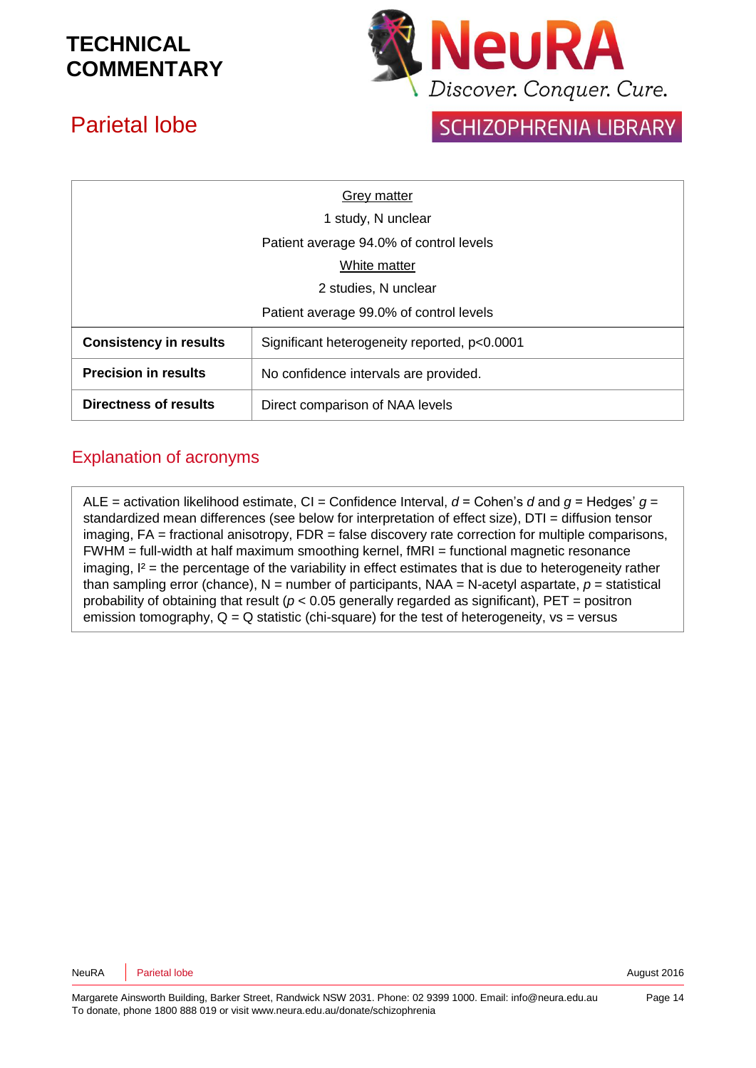

# Parietal lobe

# SCHIZOPHRENIA LIBRARY

| Grey matter                             |                                              |
|-----------------------------------------|----------------------------------------------|
| 1 study, N unclear                      |                                              |
| Patient average 94.0% of control levels |                                              |
| White matter                            |                                              |
| 2 studies, N unclear                    |                                              |
| Patient average 99.0% of control levels |                                              |
| <b>Consistency in results</b>           | Significant heterogeneity reported, p<0.0001 |
| <b>Precision in results</b>             | No confidence intervals are provided.        |
| Directness of results                   | Direct comparison of NAA levels              |

### Explanation of acronyms

ALE = activation likelihood estimate, CI = Confidence Interval,  $d$  = Cohen's  $d$  and  $g$  = Hedges'  $g$  = standardized mean differences (see below for interpretation of effect size), DTI = diffusion tensor imaging,  $FA = fractional$  anisotropy,  $FDR = false$  discovery rate correction for multiple comparisons, FWHM = full-width at half maximum smoothing kernel, fMRI = functional magnetic resonance imaging,  $I^2$  = the percentage of the variability in effect estimates that is due to heterogeneity rather than sampling error (chance),  $N =$  number of participants,  $NAA = N$ -acetyl aspartate,  $p =$  statistical probability of obtaining that result ( $p < 0.05$  generally regarded as significant), PET = positron emission tomography,  $Q = Q$  statistic (chi-square) for the test of heterogeneity,  $vs = versus$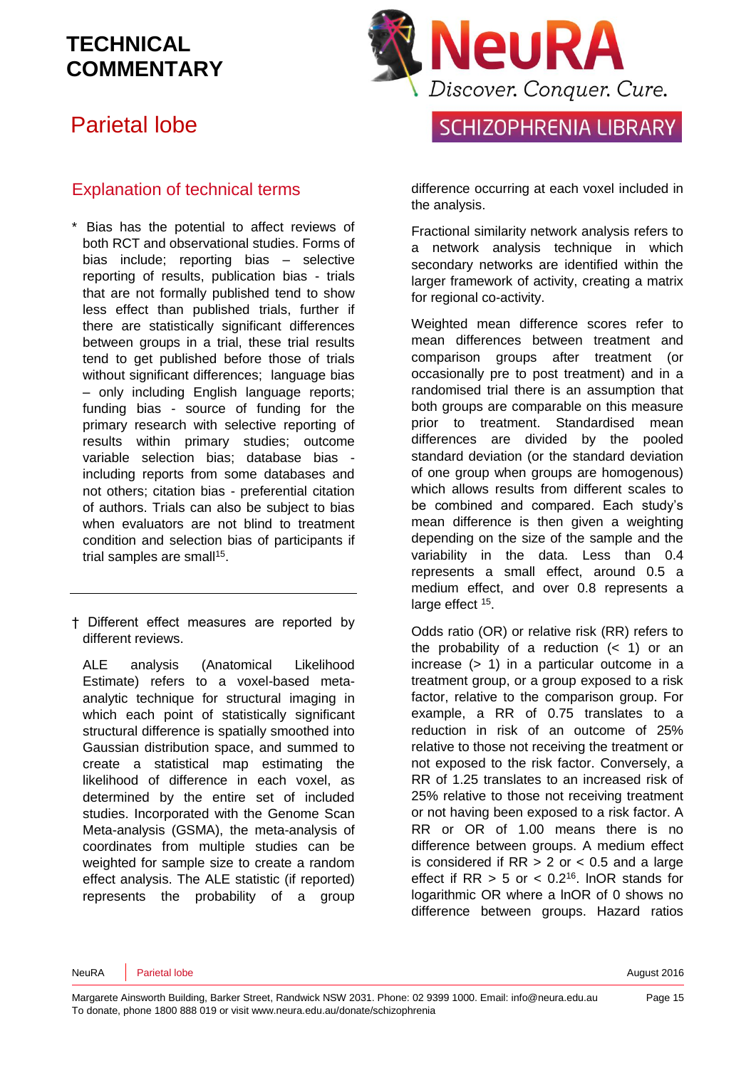## Parietal lobe

### Explanation of technical terms

- \* Bias has the potential to affect reviews of both RCT and observational studies. Forms of bias include; reporting bias – selective reporting of results, publication bias - trials that are not formally published tend to show less effect than published trials, further if there are statistically significant differences between groups in a trial, these trial results tend to get published before those of trials without significant differences; language bias – only including English language reports; funding bias - source of funding for the primary research with selective reporting of results within primary studies; outcome variable selection bias; database bias including reports from some databases and not others; citation bias - preferential citation of authors. Trials can also be subject to bias when evaluators are not blind to treatment condition and selection bias of participants if trial samples are small<sup>[15](#page-16-3)</sup>.
- † Different effect measures are reported by different reviews.

ALE analysis (Anatomical Likelihood Estimate) refers to a voxel-based metaanalytic technique for structural imaging in which each point of statistically significant structural difference is spatially smoothed into Gaussian distribution space, and summed to create a statistical map estimating the likelihood of difference in each voxel, as determined by the entire set of included studies. Incorporated with the Genome Scan Meta-analysis (GSMA), the meta-analysis of coordinates from multiple studies can be weighted for sample size to create a random effect analysis. The ALE statistic (if reported) represents the probability of a group



difference occurring at each voxel included in the analysis.

Fractional similarity network analysis refers to a network analysis technique in which secondary networks are identified within the larger framework of activity, creating a matrix for regional co-activity.

Weighted mean difference scores refer to mean differences between treatment and comparison groups after treatment (or occasionally pre to post treatment) and in a randomised trial there is an assumption that both groups are comparable on this measure prior to treatment. Standardised mean differences are divided by the pooled standard deviation (or the standard deviation of one group when groups are homogenous) which allows results from different scales to be combined and compared. Each study's mean difference is then given a weighting depending on the size of the sample and the variability in the data. Less than 0.4 represents a small effect, around 0.5 a medium effect, and over 0.8 represents a large effect <sup>[15](#page-16-3)</sup>.

Odds ratio (OR) or relative risk (RR) refers to the probability of a reduction  $( $1$ )$  or an increase (> 1) in a particular outcome in a treatment group, or a group exposed to a risk factor, relative to the comparison group. For example, a RR of 0.75 translates to a reduction in risk of an outcome of 25% relative to those not receiving the treatment or not exposed to the risk factor. Conversely, a RR of 1.25 translates to an increased risk of 25% relative to those not receiving treatment or not having been exposed to a risk factor. A RR or OR of 1.00 means there is no difference between groups. A medium effect is considered if  $RR > 2$  or  $< 0.5$  and a large effect if  $RR > 5$  or  $< 0.2<sup>16</sup>$  $< 0.2<sup>16</sup>$  $< 0.2<sup>16</sup>$ [.](#page-16-4) InOR stands for logarithmic OR where a lnOR of 0 shows no difference between groups. Hazard ratios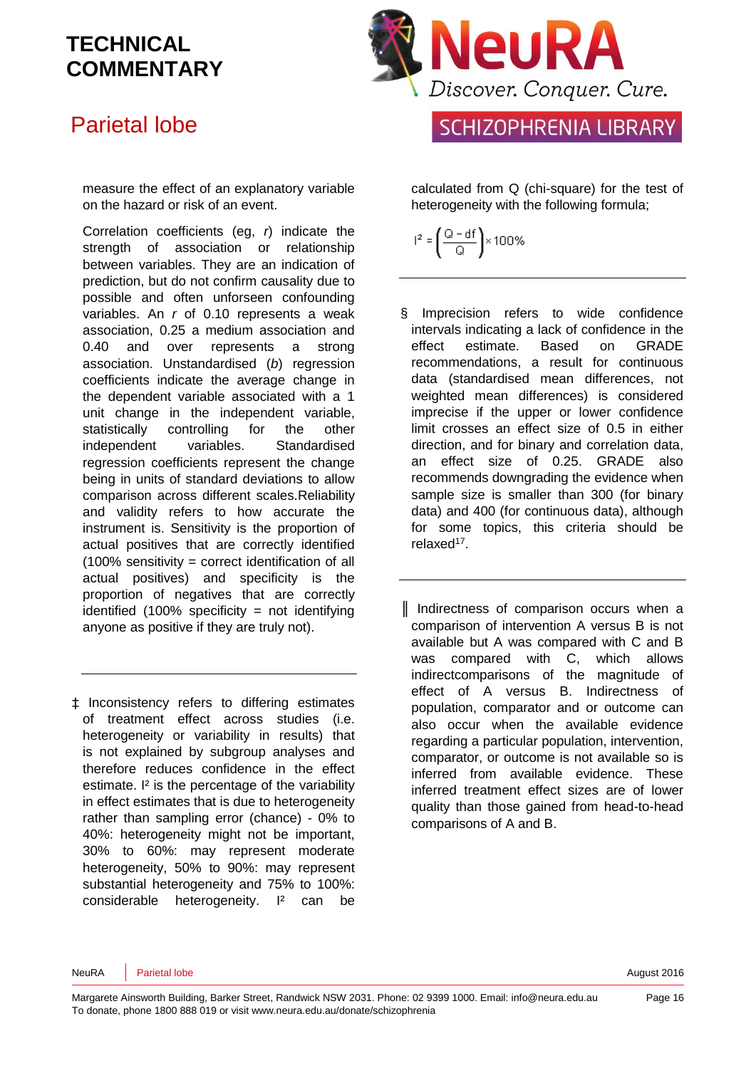## Parietal lobe

measure the effect of an explanatory variable on the hazard or risk of an event.

Correlation coefficients (eg, *r*) indicate the strength of association or relationship between variables. They are an indication of prediction, but do not confirm causality due to possible and often unforseen confounding variables. An *r* of 0.10 represents a weak association, 0.25 a medium association and 0.40 and over represents a strong association. Unstandardised (*b*) regression coefficients indicate the average change in the dependent variable associated with a 1 unit change in the independent variable, statistically controlling for the other independent variables. Standardised regression coefficients represent the change being in units of standard deviations to allow comparison across different scales.Reliability and validity refers to how accurate the instrument is. Sensitivity is the proportion of actual positives that are correctly identified (100% sensitivity = correct identification of all actual positives) and specificity is the proportion of negatives that are correctly identified  $(100\%$  specificity = not identifying anyone as positive if they are truly not).

‡ Inconsistency refers to differing estimates of treatment effect across studies (i.e. heterogeneity or variability in results) that is not explained by subgroup analyses and therefore reduces confidence in the effect estimate. I² is the percentage of the variability in effect estimates that is due to heterogeneity rather than sampling error (chance) - 0% to 40%: heterogeneity might not be important, 30% to 60%: may represent moderate heterogeneity, 50% to 90%: may represent substantial heterogeneity and 75% to 100%: considerable heterogeneity. I² can be



calculated from Q (chi-square) for the test of heterogeneity with the following formula;

 $1^2 = \left(\frac{Q - df}{Q}\right) \times 100\%$ 

§ Imprecision refers to wide confidence intervals indicating a lack of confidence in the effect estimate. Based on GRADE recommendations, a result for continuous data (standardised mean differences, not weighted mean differences) is considered imprecise if the upper or lower confidence limit crosses an effect size of 0.5 in either direction, and for binary and correlation data, an effect size of 0.25. GRADE also recommends downgrading the evidence when sample size is smaller than 300 (for binary data) and 400 (for continuous data), although for some topics, this criteria should be relaxed<sup>[17](#page-16-5)</sup>.

║ Indirectness of comparison occurs when a comparison of intervention A versus B is not available but A was compared with C and B was compared with C, which allows indirectcomparisons of the magnitude of effect of A versus B. Indirectness of population, comparator and or outcome can also occur when the available evidence regarding a particular population, intervention, comparator, or outcome is not available so is inferred from available evidence. These inferred treatment effect sizes are of lower quality than those gained from head-to-head comparisons of A and B.

NeuRA Parietal lobe August 2016 | August 2016 | August 2016 | August 2016 | August 2016 | August 2016 | August 2016

Margarete Ainsworth Building, Barker Street, Randwick NSW 2031. Phone: 02 9399 1000. Email: info@neura.edu.au To donate, phone 1800 888 019 or visit www.neura.edu.au/donate/schizophrenia